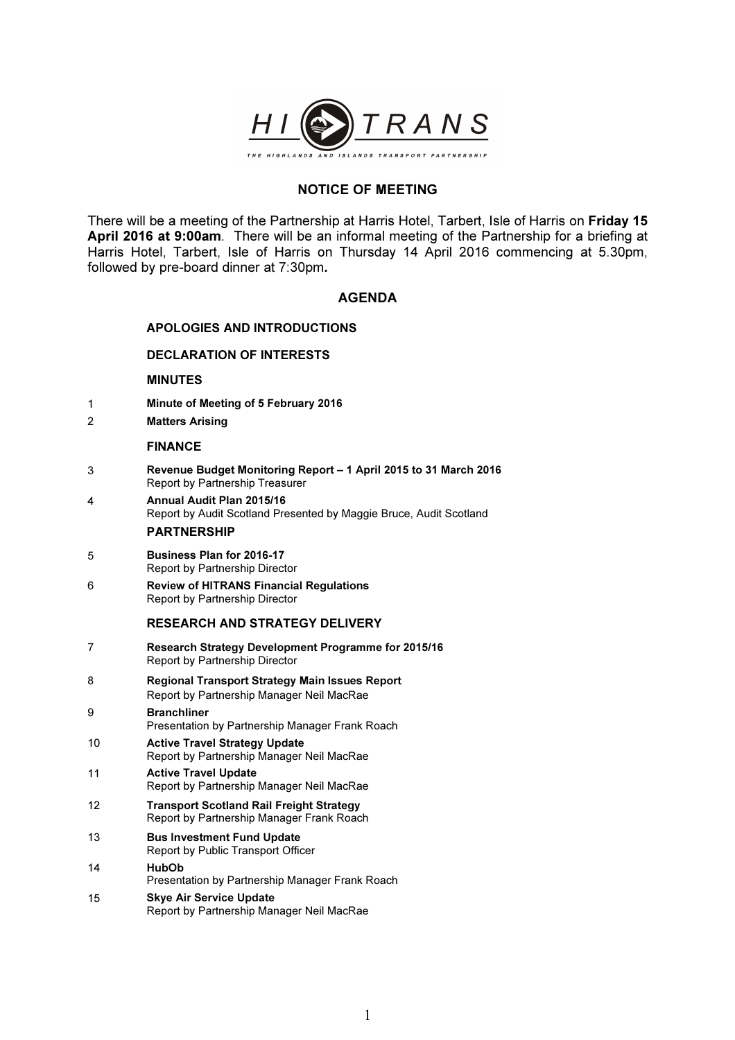

# NOTICE OF MEETING

There will be a meeting of the Partnership at Harris Hotel, Tarbert, Isle of Harris on Friday 15 April 2016 at 9:00am. There will be an informal meeting of the Partnership for a briefing at Harris Hotel, Tarbert, Isle of Harris on Thursday 14 April 2016 commencing at 5.30pm, followed by pre-board dinner at 7:30pm.

## AGENDA

## APOLOGIES AND INTRODUCTIONS

## DECLARATION OF INTERESTS

### MINUTES

- 1 Minute of Meeting of 5 February 2016
- 2 Matters Arising

#### FINANCE

- 3 Revenue Budget Monitoring Report 1 April 2015 to 31 March 2016 Report by Partnership Treasurer
- 4 Annual Audit Plan 2015/16 Report by Audit Scotland Presented by Maggie Bruce, Audit Scotland PARTNERSHIP
- 5 Business Plan for 2016-17 Report by Partnership Director
- 6 Review of HITRANS Financial Regulations Report by Partnership Director

## RESEARCH AND STRATEGY DELIVERY

7 Research Strategy Development Programme for 2015/16 Report by Partnership Director 8 Regional Transport Strategy Main Issues Report Report by Partnership Manager Neil MacRae 9 Branchliner Presentation by Partnership Manager Frank Roach 10 Active Travel Strategy Update Report by Partnership Manager Neil MacRae 11 Active Travel Update Report by Partnership Manager Neil MacRae 12 Transport Scotland Rail Freight Strategy Report by Partnership Manager Frank Roach 13 Bus Investment Fund Update Report by Public Transport Officer 14 HubOb Presentation by Partnership Manager Frank Roach 15 Skye Air Service Update Report by Partnership Manager Neil MacRae